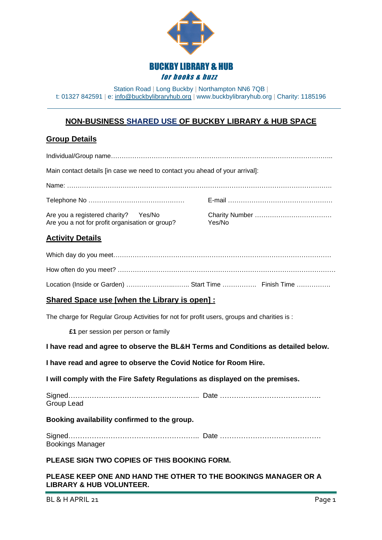

Station Road | Long Buckby | Northampton NN6 7QB | t: 01327 842591 | e: <u>[info@buckbylibraryhub.org](mailto:info@buckbylibraryhub.org)</u> | www.buckbylibraryhub.org | Charity: 1185196

## **NON-BUSINESS SHARED USE OF BUCKBY LIBRARY & HUB SPACE**

## **Group Details**

| Main contact details [in case we need to contact you ahead of your arrival]:                                                                                                                                                                                                                                                                                                                                                                                                          |        |
|---------------------------------------------------------------------------------------------------------------------------------------------------------------------------------------------------------------------------------------------------------------------------------------------------------------------------------------------------------------------------------------------------------------------------------------------------------------------------------------|--------|
|                                                                                                                                                                                                                                                                                                                                                                                                                                                                                       |        |
|                                                                                                                                                                                                                                                                                                                                                                                                                                                                                       |        |
| Yes/No<br>Are you a registered charity?<br>Are you a not for profit organisation or group?                                                                                                                                                                                                                                                                                                                                                                                            | Yes/No |
| <b>Activity Details</b>                                                                                                                                                                                                                                                                                                                                                                                                                                                               |        |
|                                                                                                                                                                                                                                                                                                                                                                                                                                                                                       |        |
|                                                                                                                                                                                                                                                                                                                                                                                                                                                                                       |        |
| Location (Inside or Garden)  Start Time  Finish Time                                                                                                                                                                                                                                                                                                                                                                                                                                  |        |
| Shared Space use [when the Library is open] :                                                                                                                                                                                                                                                                                                                                                                                                                                         |        |
| The charge for Regular Group Activities for not for profit users, groups and charities is :                                                                                                                                                                                                                                                                                                                                                                                           |        |
| £1 per session per person or family                                                                                                                                                                                                                                                                                                                                                                                                                                                   |        |
| I have read and agree to observe the BL&H Terms and Conditions as detailed below.                                                                                                                                                                                                                                                                                                                                                                                                     |        |
| I have read and agree to observe the Covid Notice for Room Hire.                                                                                                                                                                                                                                                                                                                                                                                                                      |        |
| I will comply with the Fire Safety Regulations as displayed on the premises.                                                                                                                                                                                                                                                                                                                                                                                                          |        |
| Group Lead                                                                                                                                                                                                                                                                                                                                                                                                                                                                            |        |
| Booking availability confirmed to the group.                                                                                                                                                                                                                                                                                                                                                                                                                                          |        |
| <b>Bookings Manager</b>                                                                                                                                                                                                                                                                                                                                                                                                                                                               |        |
| PLEASE SIGN TWO COPIES OF THIS BOOKING FORM.                                                                                                                                                                                                                                                                                                                                                                                                                                          |        |
| $\mathbf{H} = \mathbf{H} \mathbf{H} \mathbf{H} + \mathbf{H} \mathbf{H} \mathbf{H} \mathbf{H} + \mathbf{H} \mathbf{H} \mathbf{H} \mathbf{H} + \mathbf{H} \mathbf{H} \mathbf{H} \mathbf{H} \mathbf{H} \mathbf{H} \mathbf{H} \mathbf{H} \mathbf{H} \mathbf{H} \mathbf{H} \mathbf{H} \mathbf{H} \mathbf{H} \mathbf{H} \mathbf{H} \mathbf{H} \mathbf{H} \mathbf{H} \mathbf{H} \mathbf{H} \mathbf{H} \mathbf{H} \mathbf{H}$<br>$\mathbf{A} = \mathbf{A} \mathbf{A} + \mathbf{A} \mathbf{A}$ |        |

**PLEASE KEEP ONE AND HAND THE OTHER TO THE BOOKINGS MANAGER OR A LIBRARY & HUB VOLUNTEER.**